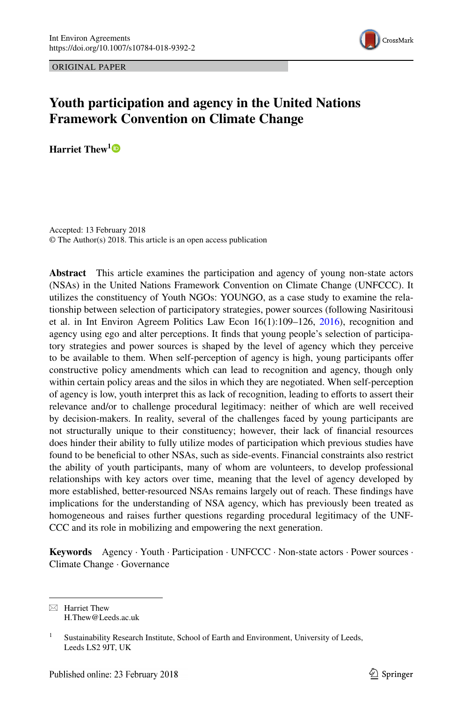ORIGINAL PAPER



# **Youth participation and agency in the United Nations Framework Convention on Climate Change**

**Harriet Thew[1](http://orcid.org/0000-0001-8671-7595)**

Accepted: 13 February 2018 © The Author(s) 2018. This article is an open access publication

**Abstract** This article examines the participation and agency of young non-state actors (NSAs) in the United Nations Framework Convention on Climate Change (UNFCCC). It utilizes the constituency of Youth NGOs: YOUNGO, as a case study to examine the relationship between selection of participatory strategies, power sources (following Nasiritousi et al. in Int Environ Agreem Politics Law Econ 16(1):109–126, [2016](#page-19-0)), recognition and agency using ego and alter perceptions. It fnds that young people's selection of participatory strategies and power sources is shaped by the level of agency which they perceive to be available to them. When self-perception of agency is high, young participants ofer constructive policy amendments which can lead to recognition and agency, though only within certain policy areas and the silos in which they are negotiated. When self-perception of agency is low, youth interpret this as lack of recognition, leading to eforts to assert their relevance and/or to challenge procedural legitimacy: neither of which are well received by decision-makers. In reality, several of the challenges faced by young participants are not structurally unique to their constituency; however, their lack of fnancial resources does hinder their ability to fully utilize modes of participation which previous studies have found to be benefcial to other NSAs, such as side-events. Financial constraints also restrict the ability of youth participants, many of whom are volunteers, to develop professional relationships with key actors over time, meaning that the level of agency developed by more established, better-resourced NSAs remains largely out of reach. These fndings have implications for the understanding of NSA agency, which has previously been treated as homogeneous and raises further questions regarding procedural legitimacy of the UNF-CCC and its role in mobilizing and empowering the next generation.

**Keywords** Agency · Youth · Participation · UNFCCC · Non-state actors · Power sources · Climate Change · Governance

 $\boxtimes$  Harriet Thew H.Thew@Leeds.ac.uk

<sup>&</sup>lt;sup>1</sup> Sustainability Research Institute, School of Earth and Environment, University of Leeds, Leeds LS2 9JT, UK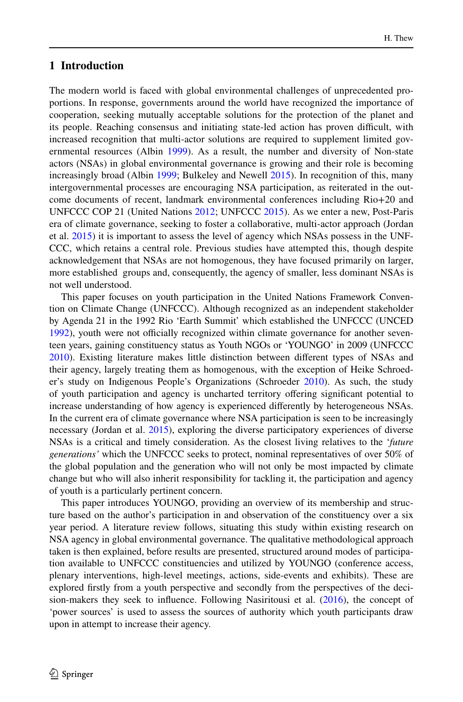## **1 Introduction**

The modern world is faced with global environmental challenges of unprecedented proportions. In response, governments around the world have recognized the importance of cooperation, seeking mutually acceptable solutions for the protection of the planet and its people. Reaching consensus and initiating state-led action has proven difcult, with increased recognition that multi-actor solutions are required to supplement limited governmental resources (Albin [1999](#page-19-1)). As a result, the number and diversity of Non-state actors (NSAs) in global environmental governance is growing and their role is becoming increasingly broad (Albin [1999;](#page-19-1) Bulkeley and Newell [2015](#page-19-2)). In recognition of this, many intergovernmental processes are encouraging NSA participation, as reiterated in the outcome documents of recent, landmark environmental conferences including Rio+20 and UNFCCC COP 21 (United Nations [2012](#page-20-0); UNFCCC [2015\)](#page-19-3). As we enter a new, Post-Paris era of climate governance, seeking to foster a collaborative, multi-actor approach (Jordan et al. [2015\)](#page-19-4) it is important to assess the level of agency which NSAs possess in the UNF-CCC, which retains a central role. Previous studies have attempted this, though despite acknowledgement that NSAs are not homogenous, they have focused primarily on larger, more established groups and, consequently, the agency of smaller, less dominant NSAs is not well understood.

This paper focuses on youth participation in the United Nations Framework Convention on Climate Change (UNFCCC). Although recognized as an independent stakeholder by Agenda 21 in the 1992 Rio 'Earth Summit' which established the UNFCCC (UNCED [1992\)](#page-19-5), youth were not officially recognized within climate governance for another seventeen years, gaining constituency status as Youth NGOs or 'YOUNGO' in 2009 (UNFCCC [2010\)](#page-19-6). Existing literature makes little distinction between diferent types of NSAs and their agency, largely treating them as homogenous, with the exception of Heike Schroeder's study on Indigenous People's Organizations (Schroeder [2010\)](#page-19-7). As such, the study of youth participation and agency is uncharted territory ofering signifcant potential to increase understanding of how agency is experienced diferently by heterogeneous NSAs. In the current era of climate governance where NSA participation is seen to be increasingly necessary (Jordan et al. [2015](#page-19-4)), exploring the diverse participatory experiences of diverse NSAs is a critical and timely consideration. As the closest living relatives to the '*future generations'* which the UNFCCC seeks to protect, nominal representatives of over 50% of the global population and the generation who will not only be most impacted by climate change but who will also inherit responsibility for tackling it, the participation and agency of youth is a particularly pertinent concern.

This paper introduces YOUNGO, providing an overview of its membership and structure based on the author's participation in and observation of the constituency over a six year period. A literature review follows, situating this study within existing research on NSA agency in global environmental governance. The qualitative methodological approach taken is then explained, before results are presented, structured around modes of participation available to UNFCCC constituencies and utilized by YOUNGO (conference access, plenary interventions, high-level meetings, actions, side-events and exhibits). These are explored frstly from a youth perspective and secondly from the perspectives of the deci-sion-makers they seek to influence. Following Nasiritousi et al. ([2016\)](#page-19-0), the concept of 'power sources' is used to assess the sources of authority which youth participants draw upon in attempt to increase their agency.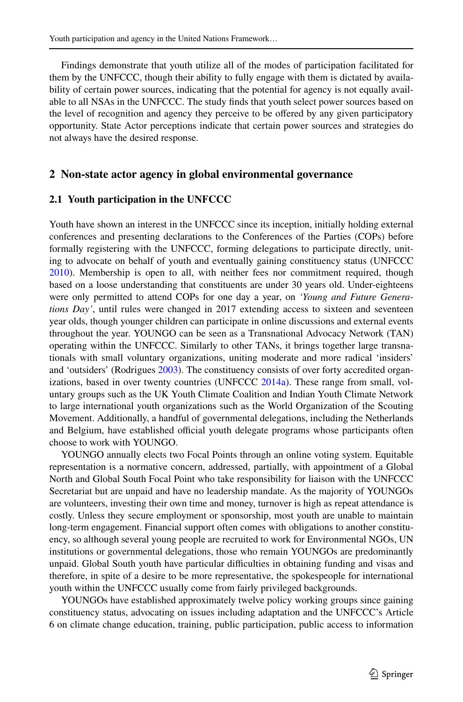Findings demonstrate that youth utilize all of the modes of participation facilitated for them by the UNFCCC, though their ability to fully engage with them is dictated by availability of certain power sources, indicating that the potential for agency is not equally available to all NSAs in the UNFCCC. The study fnds that youth select power sources based on the level of recognition and agency they perceive to be ofered by any given participatory opportunity. State Actor perceptions indicate that certain power sources and strategies do not always have the desired response.

## **2 Non‑state actor agency in global environmental governance**

### **2.1 Youth participation in the UNFCCC**

Youth have shown an interest in the UNFCCC since its inception, initially holding external conferences and presenting declarations to the Conferences of the Parties (COPs) before formally registering with the UNFCCC, forming delegations to participate directly, uniting to advocate on behalf of youth and eventually gaining constituency status (UNFCCC [2010\)](#page-19-6). Membership is open to all, with neither fees nor commitment required, though based on a loose understanding that constituents are under 30 years old. Under-eighteens were only permitted to attend COPs for one day a year, on *'Young and Future Generations Day'*, until rules were changed in 2017 extending access to sixteen and seventeen year olds, though younger children can participate in online discussions and external events throughout the year. YOUNGO can be seen as a Transnational Advocacy Network (TAN) operating within the UNFCCC. Similarly to other TANs, it brings together large transnationals with small voluntary organizations, uniting moderate and more radical 'insiders' and 'outsiders' (Rodrigues [2003](#page-19-8)). The constituency consists of over forty accredited organ-izations, based in over twenty countries (UNFCCC [2014a](#page-19-9)). These range from small, voluntary groups such as the UK Youth Climate Coalition and Indian Youth Climate Network to large international youth organizations such as the World Organization of the Scouting Movement. Additionally, a handful of governmental delegations, including the Netherlands and Belgium, have established official youth delegate programs whose participants often choose to work with YOUNGO.

YOUNGO annually elects two Focal Points through an online voting system. Equitable representation is a normative concern, addressed, partially, with appointment of a Global North and Global South Focal Point who take responsibility for liaison with the UNFCCC Secretariat but are unpaid and have no leadership mandate. As the majority of YOUNGOs are volunteers, investing their own time and money, turnover is high as repeat attendance is costly. Unless they secure employment or sponsorship, most youth are unable to maintain long-term engagement. Financial support often comes with obligations to another constituency, so although several young people are recruited to work for Environmental NGOs, UN institutions or governmental delegations, those who remain YOUNGOs are predominantly unpaid. Global South youth have particular difficulties in obtaining funding and visas and therefore, in spite of a desire to be more representative, the spokespeople for international youth within the UNFCCC usually come from fairly privileged backgrounds.

YOUNGOs have established approximately twelve policy working groups since gaining constituency status, advocating on issues including adaptation and the UNFCCC's Article 6 on climate change education, training, public participation, public access to information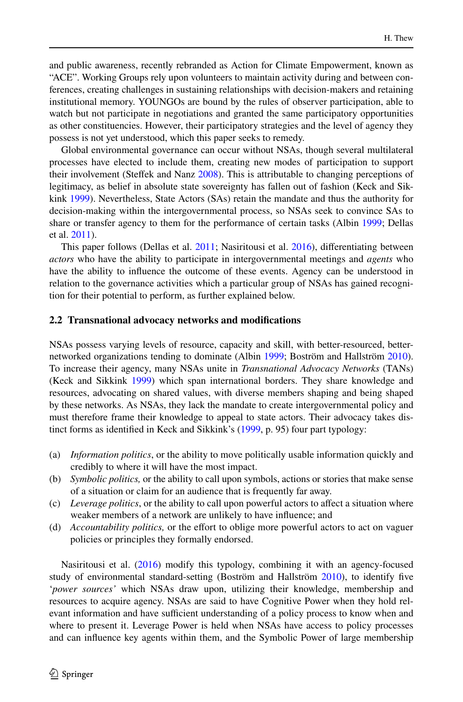and public awareness, recently rebranded as Action for Climate Empowerment, known as "ACE". Working Groups rely upon volunteers to maintain activity during and between conferences, creating challenges in sustaining relationships with decision-makers and retaining institutional memory. YOUNGOs are bound by the rules of observer participation, able to watch but not participate in negotiations and granted the same participatory opportunities as other constituencies. However, their participatory strategies and the level of agency they possess is not yet understood, which this paper seeks to remedy.

Global environmental governance can occur without NSAs, though several multilateral processes have elected to include them, creating new modes of participation to support their involvement (Stefek and Nanz [2008](#page-19-10)). This is attributable to changing perceptions of legitimacy, as belief in absolute state sovereignty has fallen out of fashion (Keck and Sikkink [1999](#page-19-11)). Nevertheless, State Actors (SAs) retain the mandate and thus the authority for decision-making within the intergovernmental process, so NSAs seek to convince SAs to share or transfer agency to them for the performance of certain tasks (Albin [1999;](#page-19-1) Dellas et al. [2011\)](#page-19-12).

This paper follows (Dellas et al. [2011](#page-19-12); Nasiritousi et al. [2016\)](#page-19-0), diferentiating between *actors* who have the ability to participate in intergovernmental meetings and *agents* who have the ability to infuence the outcome of these events. Agency can be understood in relation to the governance activities which a particular group of NSAs has gained recognition for their potential to perform, as further explained below.

#### **2.2 Transnational advocacy networks and modifcations**

NSAs possess varying levels of resource, capacity and skill, with better-resourced, betternetworked organizations tending to dominate (Albin [1999;](#page-19-1) Boström and Hallström [2010](#page-19-13)). To increase their agency, many NSAs unite in *Transnational Advocacy Networks* (TANs) (Keck and Sikkink [1999\)](#page-19-11) which span international borders. They share knowledge and resources, advocating on shared values, with diverse members shaping and being shaped by these networks. As NSAs, they lack the mandate to create intergovernmental policy and must therefore frame their knowledge to appeal to state actors. Their advocacy takes distinct forms as identifed in Keck and Sikkink's [\(1999](#page-19-11), p. 95) four part typology:

- (a) *Information politics*, or the ability to move politically usable information quickly and credibly to where it will have the most impact.
- (b) *Symbolic politics,* or the ability to call upon symbols, actions or stories that make sense of a situation or claim for an audience that is frequently far away.
- (c) *Leverage politics*, or the ability to call upon powerful actors to afect a situation where weaker members of a network are unlikely to have infuence; and
- (d) *Accountability politics,* or the efort to oblige more powerful actors to act on vaguer policies or principles they formally endorsed.

Nasiritousi et al. ([2016\)](#page-19-0) modify this typology, combining it with an agency-focused study of environmental standard-setting (Boström and Hallström [2010](#page-19-13)), to identify fve '*power sources'* which NSAs draw upon, utilizing their knowledge, membership and resources to acquire agency. NSAs are said to have Cognitive Power when they hold relevant information and have sufficient understanding of a policy process to know when and where to present it. Leverage Power is held when NSAs have access to policy processes and can infuence key agents within them, and the Symbolic Power of large membership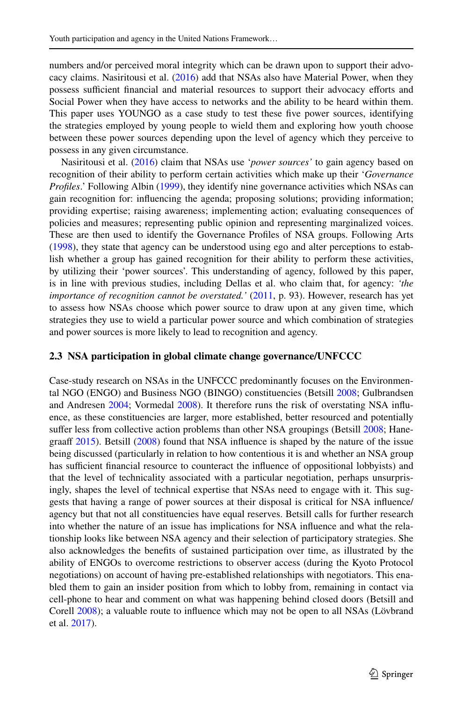numbers and/or perceived moral integrity which can be drawn upon to support their advocacy claims. Nasiritousi et al. [\(2016](#page-19-0)) add that NSAs also have Material Power, when they possess sufficient financial and material resources to support their advocacy efforts and Social Power when they have access to networks and the ability to be heard within them. This paper uses YOUNGO as a case study to test these fve power sources, identifying the strategies employed by young people to wield them and exploring how youth choose between these power sources depending upon the level of agency which they perceive to possess in any given circumstance.

Nasiritousi et al. ([2016\)](#page-19-0) claim that NSAs use '*power sources'* to gain agency based on recognition of their ability to perform certain activities which make up their '*Governance Profles*.' Following Albin ([1999\)](#page-19-1), they identify nine governance activities which NSAs can gain recognition for: infuencing the agenda; proposing solutions; providing information; providing expertise; raising awareness; implementing action; evaluating consequences of policies and measures; representing public opinion and representing marginalized voices. These are then used to identify the Governance Profles of NSA groups. Following Arts ([1998\)](#page-19-14), they state that agency can be understood using ego and alter perceptions to establish whether a group has gained recognition for their ability to perform these activities, by utilizing their 'power sources'. This understanding of agency, followed by this paper, is in line with previous studies, including Dellas et al. who claim that, for agency: *'the importance of recognition cannot be overstated.'* [\(2011](#page-19-12), p. 93). However, research has yet to assess how NSAs choose which power source to draw upon at any given time, which strategies they use to wield a particular power source and which combination of strategies and power sources is more likely to lead to recognition and agency.

## **2.3 NSA participation in global climate change governance/UNFCCC**

Case-study research on NSAs in the UNFCCC predominantly focuses on the Environmental NGO (ENGO) and Business NGO (BINGO) constituencies (Betsill [2008;](#page-19-15) Gulbrandsen and Andresen [2004](#page-19-16); Vormedal [2008](#page-20-1)). It therefore runs the risk of overstating NSA infuence, as these constituencies are larger, more established, better resourced and potentially suffer less from collective action problems than other NSA groupings (Betsill [2008](#page-19-15); Hanegraaf  $2015$ ). Betsill  $(2008)$  $(2008)$  found that NSA influence is shaped by the nature of the issue being discussed (particularly in relation to how contentious it is and whether an NSA group has sufficient financial resource to counteract the influence of oppositional lobbyists) and that the level of technicality associated with a particular negotiation, perhaps unsurprisingly, shapes the level of technical expertise that NSAs need to engage with it. This suggests that having a range of power sources at their disposal is critical for NSA infuence/ agency but that not all constituencies have equal reserves. Betsill calls for further research into whether the nature of an issue has implications for NSA infuence and what the relationship looks like between NSA agency and their selection of participatory strategies. She also acknowledges the benefts of sustained participation over time, as illustrated by the ability of ENGOs to overcome restrictions to observer access (during the Kyoto Protocol negotiations) on account of having pre-established relationships with negotiators. This enabled them to gain an insider position from which to lobby from, remaining in contact via cell-phone to hear and comment on what was happening behind closed doors (Betsill and Corell [2008](#page-19-18)); a valuable route to infuence which may not be open to all NSAs (Lövbrand et al. [2017\)](#page-19-19).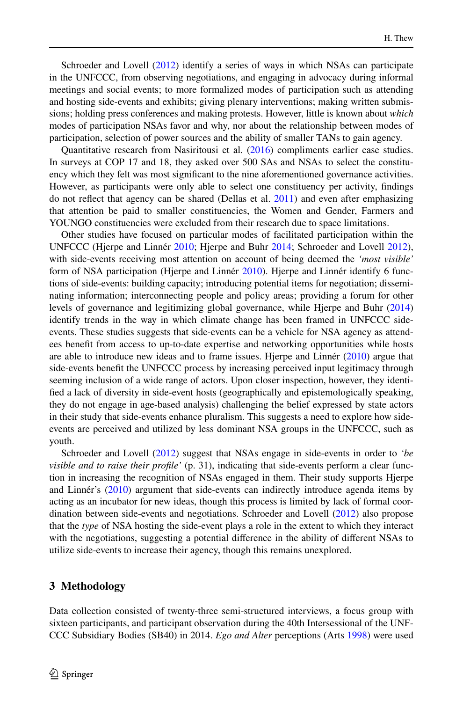Schroeder and Lovell ([2012\)](#page-19-20) identify a series of ways in which NSAs can participate in the UNFCCC, from observing negotiations, and engaging in advocacy during informal meetings and social events; to more formalized modes of participation such as attending and hosting side-events and exhibits; giving plenary interventions; making written submissions; holding press conferences and making protests. However, little is known about *which* modes of participation NSAs favor and why, nor about the relationship between modes of participation, selection of power sources and the ability of smaller TANs to gain agency.

Quantitative research from Nasiritousi et al. ([2016\)](#page-19-0) compliments earlier case studies. In surveys at COP 17 and 18, they asked over 500 SAs and NSAs to select the constituency which they felt was most signifcant to the nine aforementioned governance activities. However, as participants were only able to select one constituency per activity, fndings do not refect that agency can be shared (Dellas et al. [2011](#page-19-12)) and even after emphasizing that attention be paid to smaller constituencies, the Women and Gender, Farmers and YOUNGO constituencies were excluded from their research due to space limitations.

Other studies have focused on particular modes of facilitated participation within the UNFCCC (Hjerpe and Linnér [2010](#page-19-21); Hjerpe and Buhr [2014;](#page-19-22) Schroeder and Lovell [2012](#page-19-20)), with side-events receiving most attention on account of being deemed the *'most visible'* form of NSA participation (Hjerpe and Linnér [2010\)](#page-19-21). Hjerpe and Linnér identify 6 functions of side-events: building capacity; introducing potential items for negotiation; disseminating information; interconnecting people and policy areas; providing a forum for other levels of governance and legitimizing global governance, while Hjerpe and Buhr [\(2014](#page-19-22)) identify trends in the way in which climate change has been framed in UNFCCC sideevents. These studies suggests that side-events can be a vehicle for NSA agency as attendees beneft from access to up-to-date expertise and networking opportunities while hosts are able to introduce new ideas and to frame issues. Hjerpe and Linnér  $(2010)$  $(2010)$  argue that side-events beneft the UNFCCC process by increasing perceived input legitimacy through seeming inclusion of a wide range of actors. Upon closer inspection, however, they identifed a lack of diversity in side-event hosts (geographically and epistemologically speaking, they do not engage in age-based analysis) challenging the belief expressed by state actors in their study that side-events enhance pluralism. This suggests a need to explore how sideevents are perceived and utilized by less dominant NSA groups in the UNFCCC, such as youth.

Schroeder and Lovell ([2012\)](#page-19-20) suggest that NSAs engage in side-events in order to *'be visible and to raise their profle'* (p. 31), indicating that side-events perform a clear function in increasing the recognition of NSAs engaged in them. Their study supports Hjerpe and Linnér's ([2010\)](#page-19-21) argument that side-events can indirectly introduce agenda items by acting as an incubator for new ideas, though this process is limited by lack of formal coordination between side-events and negotiations. Schroeder and Lovell ([2012\)](#page-19-20) also propose that the *type* of NSA hosting the side-event plays a role in the extent to which they interact with the negotiations, suggesting a potential diference in the ability of diferent NSAs to utilize side-events to increase their agency, though this remains unexplored.

## **3 Methodology**

Data collection consisted of twenty-three semi-structured interviews, a focus group with sixteen participants, and participant observation during the 40th Intersessional of the UNF-CCC Subsidiary Bodies (SB40) in 2014. *Ego and Alter* perceptions (Arts [1998\)](#page-19-14) were used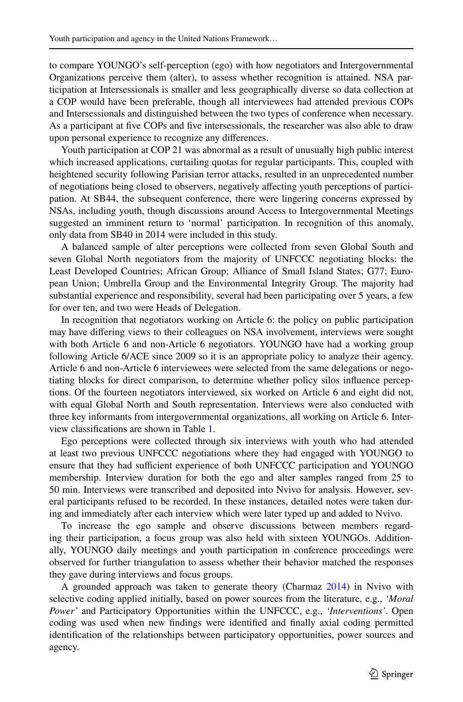to compare YOUNGO's self-perception (ego) with how negotiators and Intergovernmental Organizations perceive them (alter), to assess whether recognition is attained. NSA participation at Intersessionals is smaller and less geographically diverse so data collection at a COP would have been preferable, though all interviewees had attended previous COPs and Intersessionals and distinguished between the two types of conference when necessary. As a participant at fve COPs and fve intersessionals, the researcher was also able to draw upon personal experience to recognize any diferences.

Youth participation at COP 21 was abnormal as a result of unusually high public interest which increased applications, curtailing quotas for regular participants. This, coupled with heightened security following Parisian terror attacks, resulted in an unprecedented number of negotiations being closed to observers, negatively afecting youth perceptions of participation. At SB44, the subsequent conference, there were lingering concerns expressed by NSAs, including youth, though discussions around Access to Intergovernmental Meetings suggested an imminent return to 'normal' participation. In recognition of this anomaly, only data from SB40 in 2014 were included in this study.

A balanced sample of alter perceptions were collected from seven Global South and seven Global North negotiators from the majority of UNFCCC negotiating blocks: the Least Developed Countries; African Group; Alliance of Small Island States; G77; European Union; Umbrella Group and the Environmental Integrity Group. The majority had substantial experience and responsibility, several had been participating over 5 years, a few for over ten, and two were Heads of Delegation.

In recognition that negotiators working on Article 6: the policy on public participation may have difering views to their colleagues on NSA involvement, interviews were sought with both Article 6 and non-Article 6 negotiators. YOUNGO have had a working group following Article 6/ACE since 2009 so it is an appropriate policy to analyze their agency. Article 6 and non-Article 6 interviewees were selected from the same delegations or negotiating blocks for direct comparison, to determine whether policy silos infuence perceptions. Of the fourteen negotiators interviewed, six worked on Article 6 and eight did not, with equal Global North and South representation. Interviews were also conducted with three key informants from intergovernmental organizations, all working on Article 6. Interview classifcations are shown in Table [1](#page-7-0).

Ego perceptions were collected through six interviews with youth who had attended at least two previous UNFCCC negotiations where they had engaged with YOUNGO to ensure that they had sufficient experience of both UNFCCC participation and YOUNGO membership. Interview duration for both the ego and alter samples ranged from 25 to 50 min. Interviews were transcribed and deposited into Nvivo for analysis. However, several participants refused to be recorded. In these instances, detailed notes were taken during and immediately after each interview which were later typed up and added to Nvivo.

To increase the ego sample and observe discussions between members regarding their participation, a focus group was also held with sixteen YOUNGOs. Additionally, YOUNGO daily meetings and youth participation in conference proceedings were observed for further triangulation to assess whether their behavior matched the responses they gave during interviews and focus groups.

A grounded approach was taken to generate theory (Charmaz [2014\)](#page-19-23) in Nvivo with selective coding applied initially, based on power sources from the literature, e.g., *'Moral Power'* and Participatory Opportunities within the UNFCCC, e.g., *'Interventions'*. Open coding was used when new fndings were identifed and fnally axial coding permitted identifcation of the relationships between participatory opportunities, power sources and agency.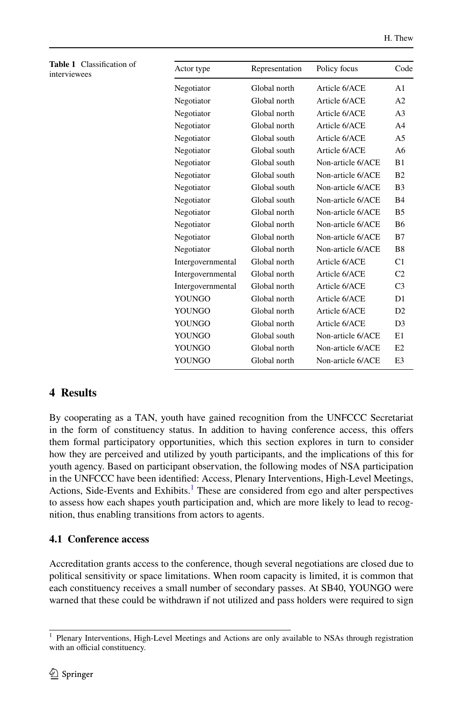<span id="page-7-0"></span>

| <b>Table 1</b> Classification of<br>interviewees | Actor type        | Representation | Policy focus      | Code           |
|--------------------------------------------------|-------------------|----------------|-------------------|----------------|
|                                                  | Negotiator        | Global north   | Article 6/ACE     | A <sub>1</sub> |
|                                                  | Negotiator        | Global north   | Article 6/ACE     | A2             |
|                                                  | Negotiator        | Global north   | Article 6/ACE     | A <sub>3</sub> |
|                                                  | Negotiator        | Global north   | Article 6/ACE     | A <sub>4</sub> |
|                                                  | Negotiator        | Global south   | Article 6/ACE     | A <sub>5</sub> |
|                                                  | Negotiator        | Global south   | Article 6/ACE     | A <sub>6</sub> |
|                                                  | Negotiator        | Global south   | Non-article 6/ACE | B1             |
|                                                  | Negotiator        | Global south   | Non-article 6/ACE | B <sub>2</sub> |
|                                                  | Negotiator        | Global south   | Non-article 6/ACE | B <sub>3</sub> |
|                                                  | Negotiator        | Global south   | Non-article 6/ACE | B <sub>4</sub> |
|                                                  | Negotiator        | Global north   | Non-article 6/ACE | B <sub>5</sub> |
|                                                  | Negotiator        | Global north   | Non-article 6/ACE | <b>B6</b>      |
|                                                  | Negotiator        | Global north   | Non-article 6/ACE | B7             |
|                                                  | Negotiator        | Global north   | Non-article 6/ACE | B <sub>8</sub> |
|                                                  | Intergovernmental | Global north   | Article 6/ACE     | C <sub>1</sub> |
|                                                  | Intergovernmental | Global north   | Article 6/ACE     | C <sub>2</sub> |
|                                                  | Intergovernmental | Global north   | Article 6/ACE     | C <sub>3</sub> |
|                                                  | <b>YOUNGO</b>     | Global north   | Article 6/ACE     | D1             |
|                                                  | <b>YOUNGO</b>     | Global north   | Article 6/ACE     | D2             |
|                                                  | <b>YOUNGO</b>     | Global north   | Article 6/ACE     | D <sub>3</sub> |
|                                                  | YOUNGO            | Global south   | Non-article 6/ACE | E1             |
|                                                  | YOUNGO            | Global north   | Non-article 6/ACE | E2             |
|                                                  | YOUNGO            | Global north   | Non-article 6/ACE | E <sub>3</sub> |

## **4 Results**

By cooperating as a TAN, youth have gained recognition from the UNFCCC Secretariat in the form of constituency status. In addition to having conference access, this ofers them formal participatory opportunities, which this section explores in turn to consider how they are perceived and utilized by youth participants, and the implications of this for youth agency. Based on participant observation, the following modes of NSA participation in the UNFCCC have been identifed: Access, Plenary Interventions, High-Level Meetings, Actions, Side-Events and Exhibits.<sup>[1](#page-7-1)</sup> These are considered from ego and alter perspectives to assess how each shapes youth participation and, which are more likely to lead to recognition, thus enabling transitions from actors to agents.

## **4.1 Conference access**

Accreditation grants access to the conference, though several negotiations are closed due to political sensitivity or space limitations. When room capacity is limited, it is common that each constituency receives a small number of secondary passes. At SB40, YOUNGO were warned that these could be withdrawn if not utilized and pass holders were required to sign

<span id="page-7-1"></span><sup>&</sup>lt;sup>1</sup> Plenary Interventions, High-Level Meetings and Actions are only available to NSAs through registration with an official constituency.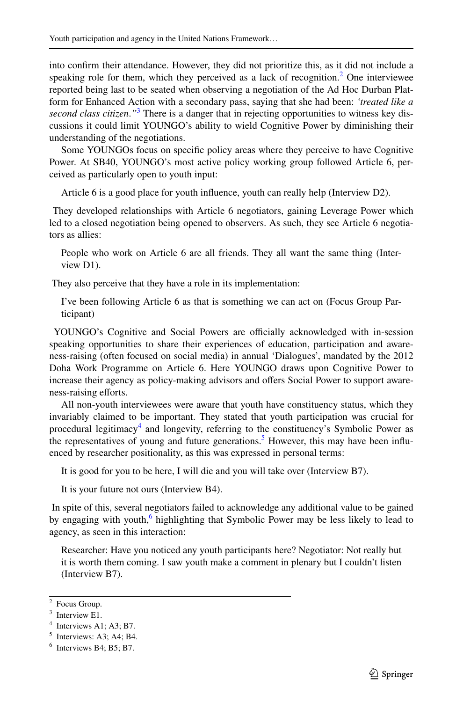into confrm their attendance. However, they did not prioritize this, as it did not include a speaking role for them, which they perceived as a lack of recognition.<sup>2</sup> One interviewee reported being last to be seated when observing a negotiation of the Ad Hoc Durban Platform for Enhanced Action with a secondary pass, saying that she had been: *'treated like a second class citizen*.*"*[3](#page-8-1) There is a danger that in rejecting opportunities to witness key discussions it could limit YOUNGO's ability to wield Cognitive Power by diminishing their understanding of the negotiations.

Some YOUNGOs focus on specifc policy areas where they perceive to have Cognitive Power. At SB40, YOUNGO's most active policy working group followed Article 6, perceived as particularly open to youth input:

Article 6 is a good place for youth infuence, youth can really help (Interview D2).

 They developed relationships with Article 6 negotiators, gaining Leverage Power which led to a closed negotiation being opened to observers. As such, they see Article 6 negotiators as allies:

People who work on Article 6 are all friends. They all want the same thing (Interview D1).

They also perceive that they have a role in its implementation:

I've been following Article 6 as that is something we can act on (Focus Group Participant)

YOUNGO's Cognitive and Social Powers are officially acknowledged with in-session speaking opportunities to share their experiences of education, participation and awareness-raising (often focused on social media) in annual 'Dialogues', mandated by the 2012 Doha Work Programme on Article 6. Here YOUNGO draws upon Cognitive Power to increase their agency as policy-making advisors and offers Social Power to support awareness-raising efforts.

All non-youth interviewees were aware that youth have constituency status, which they invariably claimed to be important. They stated that youth participation was crucial for procedural legitimacy<sup>4</sup> and longevity, referring to the constituency's Symbolic Power as the representatives of young and future generations.<sup>[5](#page-8-3)</sup> However, this may have been influenced by researcher positionality, as this was expressed in personal terms:

It is good for you to be here, I will die and you will take over (Interview B7).

It is your future not ours (Interview B4).

 In spite of this, several negotiators failed to acknowledge any additional value to be gained by engaging with youth,<sup>[6](#page-8-4)</sup> highlighting that Symbolic Power may be less likely to lead to agency, as seen in this interaction:

Researcher: Have you noticed any youth participants here? Negotiator: Not really but it is worth them coming. I saw youth make a comment in plenary but I couldn't listen (Interview B7).

<span id="page-8-0"></span><sup>2</sup> Focus Group.

<span id="page-8-1"></span><sup>&</sup>lt;sup>3</sup> Interview E1.

<span id="page-8-2"></span><sup>&</sup>lt;sup>4</sup> Interviews A1; A3; B7.

<span id="page-8-3"></span><sup>&</sup>lt;sup>5</sup> Interviews: A3: A4: B4.

<span id="page-8-4"></span> $<sup>6</sup>$  Interviews B4; B5; B7.</sup>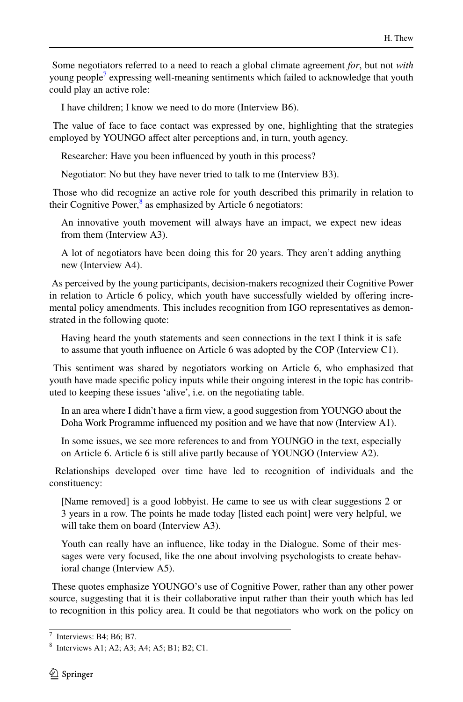Some negotiators referred to a need to reach a global climate agreement *for*, but not *with* young people<sup>7</sup> expressing well-meaning sentiments which failed to acknowledge that youth could play an active role:

I have children; I know we need to do more (Interview B6).

 The value of face to face contact was expressed by one, highlighting that the strategies employed by YOUNGO affect alter perceptions and, in turn, youth agency.

Researcher: Have you been infuenced by youth in this process?

Negotiator: No but they have never tried to talk to me (Interview B3).

 Those who did recognize an active role for youth described this primarily in relation to their Cognitive Power,<sup>[8](#page-9-1)</sup> as emphasized by Article 6 negotiators:

An innovative youth movement will always have an impact, we expect new ideas from them (Interview A3).

A lot of negotiators have been doing this for 20 years. They aren't adding anything new (Interview A4).

 As perceived by the young participants, decision-makers recognized their Cognitive Power in relation to Article 6 policy, which youth have successfully wielded by ofering incremental policy amendments. This includes recognition from IGO representatives as demonstrated in the following quote:

Having heard the youth statements and seen connections in the text I think it is safe to assume that youth infuence on Article 6 was adopted by the COP (Interview C1).

 This sentiment was shared by negotiators working on Article 6, who emphasized that youth have made specifc policy inputs while their ongoing interest in the topic has contributed to keeping these issues 'alive', i.e. on the negotiating table.

In an area where I didn't have a frm view, a good suggestion from YOUNGO about the Doha Work Programme infuenced my position and we have that now (Interview A1).

In some issues, we see more references to and from YOUNGO in the text, especially on Article 6. Article 6 is still alive partly because of YOUNGO (Interview A2).

 Relationships developed over time have led to recognition of individuals and the constituency:

[Name removed] is a good lobbyist. He came to see us with clear suggestions 2 or 3 years in a row. The points he made today [listed each point] were very helpful, we will take them on board (Interview A3).

Youth can really have an infuence, like today in the Dialogue. Some of their messages were very focused, like the one about involving psychologists to create behavioral change (Interview A5).

 These quotes emphasize YOUNGO's use of Cognitive Power, rather than any other power source, suggesting that it is their collaborative input rather than their youth which has led to recognition in this policy area. It could be that negotiators who work on the policy on

<span id="page-9-0"></span>Interviews: B4; B6; B7.

<span id="page-9-1"></span><sup>&</sup>lt;sup>8</sup> Interviews A1; A2; A3; A4; A5; B1; B2; C1.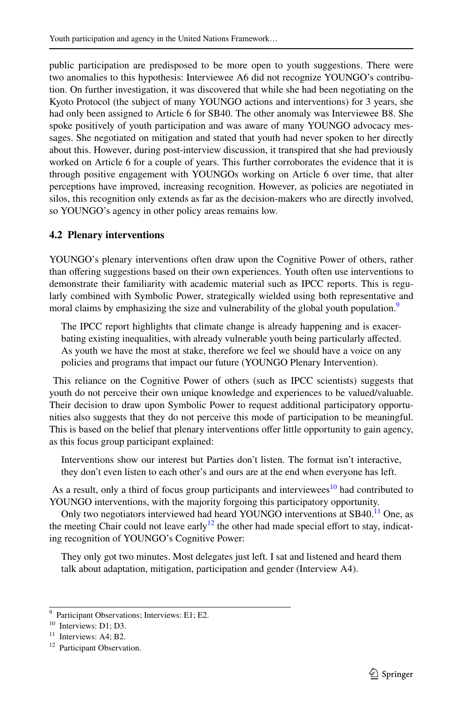public participation are predisposed to be more open to youth suggestions. There were two anomalies to this hypothesis: Interviewee A6 did not recognize YOUNGO's contribution. On further investigation, it was discovered that while she had been negotiating on the Kyoto Protocol (the subject of many YOUNGO actions and interventions) for 3 years, she had only been assigned to Article 6 for SB40. The other anomaly was Interviewee B8. She spoke positively of youth participation and was aware of many YOUNGO advocacy messages. She negotiated on mitigation and stated that youth had never spoken to her directly about this. However, during post-interview discussion, it transpired that she had previously worked on Article 6 for a couple of years. This further corroborates the evidence that it is through positive engagement with YOUNGOs working on Article 6 over time, that alter perceptions have improved, increasing recognition. However, as policies are negotiated in silos, this recognition only extends as far as the decision-makers who are directly involved, so YOUNGO's agency in other policy areas remains low.

## **4.2 Plenary interventions**

YOUNGO's plenary interventions often draw upon the Cognitive Power of others, rather than offering suggestions based on their own experiences. Youth often use interventions to demonstrate their familiarity with academic material such as IPCC reports. This is regularly combined with Symbolic Power, strategically wielded using both representative and moral claims by emphasizing the size and vulnerability of the global youth population.<sup>9</sup>

The IPCC report highlights that climate change is already happening and is exacerbating existing inequalities, with already vulnerable youth being particularly afected. As youth we have the most at stake, therefore we feel we should have a voice on any policies and programs that impact our future (YOUNGO Plenary Intervention).

 This reliance on the Cognitive Power of others (such as IPCC scientists) suggests that youth do not perceive their own unique knowledge and experiences to be valued/valuable. Their decision to draw upon Symbolic Power to request additional participatory opportunities also suggests that they do not perceive this mode of participation to be meaningful. This is based on the belief that plenary interventions offer little opportunity to gain agency, as this focus group participant explained:

Interventions show our interest but Parties don't listen. The format isn't interactive, they don't even listen to each other's and ours are at the end when everyone has left.

As a result, only a third of focus group participants and interviewees<sup>10</sup> had contributed to YOUNGO interventions, with the majority forgoing this participatory opportunity.

Only two negotiators interviewed had heard YOUNGO interventions at SB40.<sup>11</sup> One, as the meeting Chair could not leave early<sup>12</sup> the other had made special effort to stay, indicating recognition of YOUNGO's Cognitive Power:

They only got two minutes. Most delegates just left. I sat and listened and heard them talk about adaptation, mitigation, participation and gender (Interview A4).

<span id="page-10-0"></span><sup>&</sup>lt;sup>9</sup> Participant Observations; Interviews: E1; E2.

<span id="page-10-1"></span><sup>&</sup>lt;sup>10</sup> Interviews: D1; D3.

<span id="page-10-2"></span><sup>&</sup>lt;sup>11</sup> Interviews: A4; B2.

<span id="page-10-3"></span><sup>&</sup>lt;sup>12</sup> Participant Observation.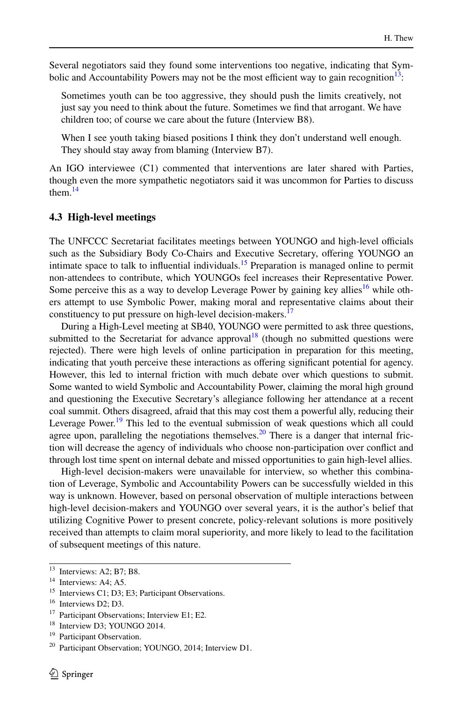Several negotiators said they found some interventions too negative, indicating that Symbolic and Accountability Powers may not be the most efficient way to gain recognition<sup>13</sup>:

Sometimes youth can be too aggressive, they should push the limits creatively, not just say you need to think about the future. Sometimes we fnd that arrogant. We have children too; of course we care about the future (Interview B8).

When I see youth taking biased positions I think they don't understand well enough. They should stay away from blaming (Interview B7).

An IGO interviewee (C1) commented that interventions are later shared with Parties, though even the more sympathetic negotiators said it was uncommon for Parties to discuss them $14$ 

#### **4.3 High‑level meetings**

The UNFCCC Secretariat facilitates meetings between YOUNGO and high-level officials such as the Subsidiary Body Co-Chairs and Executive Secretary, ofering YOUNGO an intimate space to talk to influential individuals.<sup>[15](#page-11-2)</sup> Preparation is managed online to permit non-attendees to contribute, which YOUNGOs feel increases their Representative Power. Some perceive this as a way to develop Leverage Power by gaining key allies<sup>16</sup> while others attempt to use Symbolic Power, making moral and representative claims about their constituency to put pressure on high-level decision-makers.<sup>17</sup>

During a High-Level meeting at SB40, YOUNGO were permitted to ask three questions, submitted to the Secretariat for advance approval<sup>[18](#page-11-5)</sup> (though no submitted questions were rejected). There were high levels of online participation in preparation for this meeting, indicating that youth perceive these interactions as ofering signifcant potential for agency. However, this led to internal friction with much debate over which questions to submit. Some wanted to wield Symbolic and Accountability Power, claiming the moral high ground and questioning the Executive Secretary's allegiance following her attendance at a recent coal summit. Others disagreed, afraid that this may cost them a powerful ally, reducing their Leverage Power.<sup>[19](#page-11-6)</sup> This led to the eventual submission of weak questions which all could agree upon, paralleling the negotiations themselves.<sup>20</sup> There is a danger that internal friction will decrease the agency of individuals who choose non-participation over confict and through lost time spent on internal debate and missed opportunities to gain high-level allies.

High-level decision-makers were unavailable for interview, so whether this combination of Leverage, Symbolic and Accountability Powers can be successfully wielded in this way is unknown. However, based on personal observation of multiple interactions between high-level decision-makers and YOUNGO over several years, it is the author's belief that utilizing Cognitive Power to present concrete, policy-relevant solutions is more positively received than attempts to claim moral superiority, and more likely to lead to the facilitation of subsequent meetings of this nature.

<span id="page-11-0"></span> $13$  Interviews: A2; B7; B8.

<span id="page-11-1"></span><sup>&</sup>lt;sup>14</sup> Interviews: A4; A5.

<span id="page-11-2"></span><sup>&</sup>lt;sup>15</sup> Interviews C1; D3; E3; Participant Observations.

<span id="page-11-3"></span><sup>&</sup>lt;sup>16</sup> Interviews D2; D3.

<span id="page-11-4"></span><sup>&</sup>lt;sup>17</sup> Participant Observations; Interview E1; E2.

<span id="page-11-5"></span><sup>&</sup>lt;sup>18</sup> Interview D3; YOUNGO 2014.

<span id="page-11-6"></span><sup>&</sup>lt;sup>19</sup> Participant Observation.

<span id="page-11-7"></span><sup>&</sup>lt;sup>20</sup> Participant Observation; YOUNGO, 2014; Interview D1.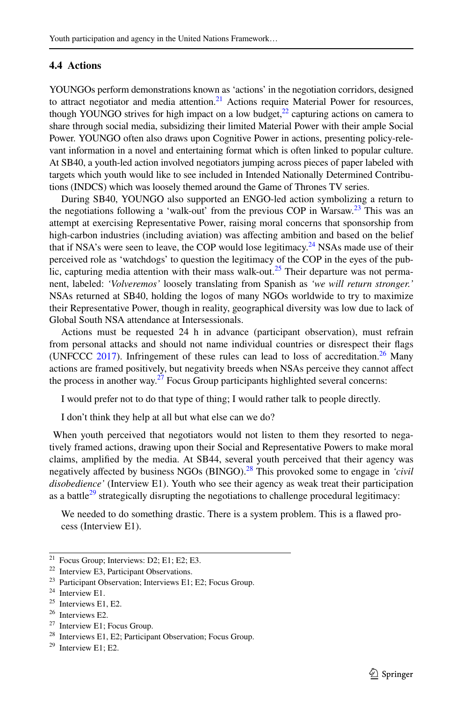## **4.4 Actions**

YOUNGOs perform demonstrations known as 'actions' in the negotiation corridors, designed to attract negotiator and media attention.<sup>21</sup> Actions require Material Power for resources, though YOUNGO strives for high impact on a low budget, $^{22}$  $^{22}$  $^{22}$  capturing actions on camera to share through social media, subsidizing their limited Material Power with their ample Social Power. YOUNGO often also draws upon Cognitive Power in actions, presenting policy-relevant information in a novel and entertaining format which is often linked to popular culture. At SB40, a youth-led action involved negotiators jumping across pieces of paper labeled with targets which youth would like to see included in Intended Nationally Determined Contributions (INDCS) which was loosely themed around the Game of Thrones TV series.

During SB40, YOUNGO also supported an ENGO-led action symbolizing a return to the negotiations following a 'walk-out' from the previous COP in Warsaw.<sup>23</sup> This was an attempt at exercising Representative Power, raising moral concerns that sponsorship from high-carbon industries (including aviation) was afecting ambition and based on the belief that if NSA's were seen to leave, the COP would lose legitimacy.<sup>24</sup> NSAs made use of their perceived role as 'watchdogs' to question the legitimacy of the COP in the eyes of the pub-lic, capturing media attention with their mass walk-out.<sup>[25](#page-12-4)</sup> Their departure was not permanent, labeled: *'Volveremos'* loosely translating from Spanish as *'we will return stronger.'* NSAs returned at SB40, holding the logos of many NGOs worldwide to try to maximize their Representative Power, though in reality, geographical diversity was low due to lack of Global South NSA attendance at Intersessionals.

Actions must be requested 24 h in advance (participant observation), must refrain from personal attacks and should not name individual countries or disrespect their fags (UNFCCC [2017\)](#page-20-2). Infringement of these rules can lead to loss of accreditation.<sup>26</sup> Many actions are framed positively, but negativity breeds when NSAs perceive they cannot afect the process in another way.<sup>27</sup> Focus Group participants highlighted several concerns:

I would prefer not to do that type of thing; I would rather talk to people directly.

I don't think they help at all but what else can we do?

 When youth perceived that negotiators would not listen to them they resorted to negatively framed actions, drawing upon their Social and Representative Powers to make moral claims, amplifed by the media. At SB44, several youth perceived that their agency was negatively affected by business NGOs (BINGO).<sup>[28](#page-12-7)</sup> This provoked some to engage in *'civil disobedience'* (Interview E1). Youth who see their agency as weak treat their participation as a battle $^{29}$  $^{29}$  $^{29}$  strategically disrupting the negotiations to challenge procedural legitimacy:

We needed to do something drastic. There is a system problem. This is a fawed process (Interview E1).

<span id="page-12-6"></span><sup>27</sup> Interview E1; Focus Group.

<span id="page-12-0"></span><sup>&</sup>lt;sup>21</sup> Focus Group; Interviews: D2; E1; E2; E3.

<span id="page-12-1"></span><sup>&</sup>lt;sup>22</sup> Interview E3, Participant Observations.

<span id="page-12-2"></span><sup>&</sup>lt;sup>23</sup> Participant Observation; Interviews E1; E2; Focus Group.

<span id="page-12-3"></span><sup>&</sup>lt;sup>24</sup> Interview E1.

<span id="page-12-4"></span><sup>&</sup>lt;sup>25</sup> Interviews E1, E2.

<span id="page-12-5"></span><sup>26</sup> Interviews E2.

<span id="page-12-7"></span><sup>&</sup>lt;sup>28</sup> Interviews E1, E2; Participant Observation; Focus Group.

<span id="page-12-8"></span> $29$  Interview E1; E2.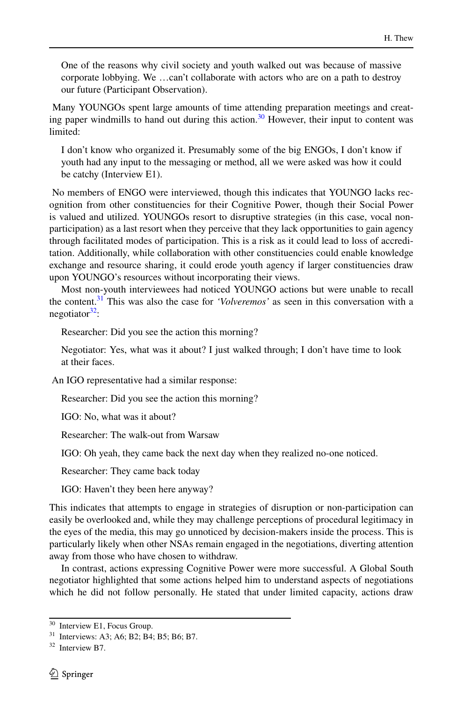One of the reasons why civil society and youth walked out was because of massive corporate lobbying. We …can't collaborate with actors who are on a path to destroy our future (Participant Observation).

 Many YOUNGOs spent large amounts of time attending preparation meetings and creat-ing paper windmills to hand out during this action.<sup>[30](#page-13-0)</sup> However, their input to content was limited:

I don't know who organized it. Presumably some of the big ENGOs, I don't know if youth had any input to the messaging or method, all we were asked was how it could be catchy (Interview E1).

 No members of ENGO were interviewed, though this indicates that YOUNGO lacks recognition from other constituencies for their Cognitive Power, though their Social Power is valued and utilized. YOUNGOs resort to disruptive strategies (in this case, vocal nonparticipation) as a last resort when they perceive that they lack opportunities to gain agency through facilitated modes of participation. This is a risk as it could lead to loss of accreditation. Additionally, while collaboration with other constituencies could enable knowledge exchange and resource sharing, it could erode youth agency if larger constituencies draw upon YOUNGO's resources without incorporating their views.

Most non-youth interviewees had noticed YOUNGO actions but were unable to recall the content.[31](#page-13-1) This was also the case for *'Volveremos'* as seen in this conversation with a negotiator $32$ :

Researcher: Did you see the action this morning?

Negotiator: Yes, what was it about? I just walked through; I don't have time to look at their faces.

An IGO representative had a similar response:

Researcher: Did you see the action this morning?

IGO: No, what was it about?

Researcher: The walk-out from Warsaw

IGO: Oh yeah, they came back the next day when they realized no-one noticed.

Researcher: They came back today

IGO: Haven't they been here anyway?

This indicates that attempts to engage in strategies of disruption or non-participation can easily be overlooked and, while they may challenge perceptions of procedural legitimacy in the eyes of the media, this may go unnoticed by decision-makers inside the process. This is particularly likely when other NSAs remain engaged in the negotiations, diverting attention away from those who have chosen to withdraw.

In contrast, actions expressing Cognitive Power were more successful. A Global South negotiator highlighted that some actions helped him to understand aspects of negotiations which he did not follow personally. He stated that under limited capacity, actions draw

<span id="page-13-0"></span><sup>30</sup> Interview E1, Focus Group.

<span id="page-13-1"></span><sup>31</sup> Interviews: A3; A6; B2; B4; B5; B6; B7.

<span id="page-13-2"></span><sup>&</sup>lt;sup>32</sup> Interview B7.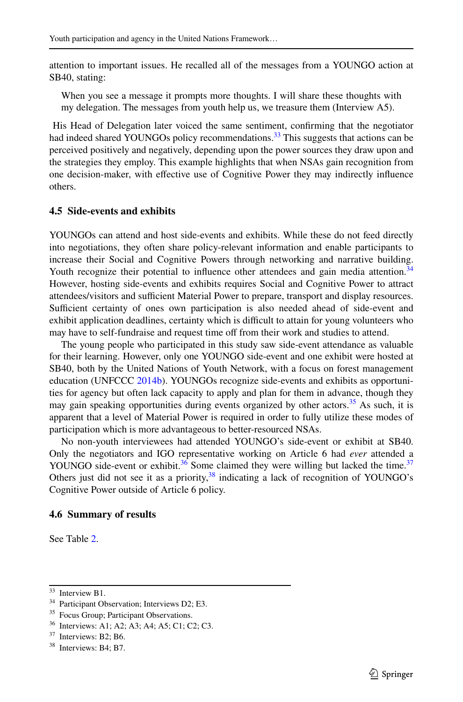attention to important issues. He recalled all of the messages from a YOUNGO action at SB40, stating:

When you see a message it prompts more thoughts. I will share these thoughts with my delegation. The messages from youth help us, we treasure them (Interview A5).

 His Head of Delegation later voiced the same sentiment, confrming that the negotiator had indeed shared YOUNGOs policy recommendations.<sup>33</sup> This suggests that actions can be perceived positively and negatively, depending upon the power sources they draw upon and the strategies they employ. This example highlights that when NSAs gain recognition from one decision-maker, with efective use of Cognitive Power they may indirectly infuence others.

## **4.5 Side‑events and exhibits**

YOUNGOs can attend and host side-events and exhibits. While these do not feed directly into negotiations, they often share policy-relevant information and enable participants to increase their Social and Cognitive Powers through networking and narrative building. Youth recognize their potential to influence other attendees and gain media attention.<sup>[34](#page-14-1)</sup> However, hosting side-events and exhibits requires Social and Cognitive Power to attract attendees/visitors and sufficient Material Power to prepare, transport and display resources. Sufficient certainty of ones own participation is also needed ahead of side-event and exhibit application deadlines, certainty which is difficult to attain for young volunteers who may have to self-fundraise and request time off from their work and studies to attend.

The young people who participated in this study saw side-event attendance as valuable for their learning. However, only one YOUNGO side-event and one exhibit were hosted at SB40, both by the United Nations of Youth Network, with a focus on forest management education (UNFCCC [2014b\)](#page-19-24). YOUNGOs recognize side-events and exhibits as opportunities for agency but often lack capacity to apply and plan for them in advance, though they may gain speaking opportunities during events organized by other actors.<sup>[35](#page-14-2)</sup> As such, it is apparent that a level of Material Power is required in order to fully utilize these modes of participation which is more advantageous to better-resourced NSAs.

No non-youth interviewees had attended YOUNGO's side-event or exhibit at SB40. Only the negotiators and IGO representative working on Article 6 had *ever* attended a YOUNGO side-event or exhibit.<sup>36</sup> Some claimed they were willing but lacked the time.<sup>[37](#page-14-4)</sup> Others just did not see it as a priority,  $38$  indicating a lack of recognition of YOUNGO's Cognitive Power outside of Article 6 policy.

#### **4.6 Summary of results**

See Table [2](#page-15-0).

<span id="page-14-0"></span><sup>33</sup> Interview B1.

<span id="page-14-1"></span><sup>34</sup> Participant Observation; Interviews D2; E3.

<span id="page-14-2"></span><sup>&</sup>lt;sup>35</sup> Focus Group; Participant Observations.

<span id="page-14-3"></span><sup>36</sup> Interviews: A1; A2; A3; A4; A5; C1; C2; C3.

<span id="page-14-4"></span><sup>&</sup>lt;sup>37</sup> Interviews: B2; B6.

<span id="page-14-5"></span><sup>&</sup>lt;sup>38</sup> Interviews: B4; B7.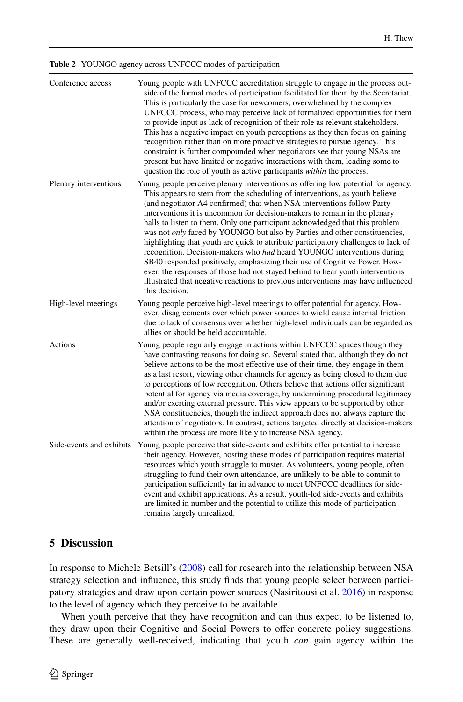#### <span id="page-15-0"></span>**Table 2** YOUNGO agency across UNFCCC modes of participation

| Conference access        | Young people with UNFCCC accreditation struggle to engage in the process out-<br>side of the formal modes of participation facilitated for them by the Secretariat.<br>This is particularly the case for newcomers, overwhelmed by the complex<br>UNFCCC process, who may perceive lack of formalized opportunities for them<br>to provide input as lack of recognition of their role as relevant stakeholders.<br>This has a negative impact on youth perceptions as they then focus on gaining<br>recognition rather than on more proactive strategies to pursue agency. This<br>constraint is further compounded when negotiators see that young NSAs are<br>present but have limited or negative interactions with them, leading some to<br>question the role of youth as active participants within the process.                                                                                                       |
|--------------------------|-----------------------------------------------------------------------------------------------------------------------------------------------------------------------------------------------------------------------------------------------------------------------------------------------------------------------------------------------------------------------------------------------------------------------------------------------------------------------------------------------------------------------------------------------------------------------------------------------------------------------------------------------------------------------------------------------------------------------------------------------------------------------------------------------------------------------------------------------------------------------------------------------------------------------------|
| Plenary interventions    | Young people perceive plenary interventions as offering low potential for agency.<br>This appears to stem from the scheduling of interventions, as youth believe<br>(and negotiator A4 confirmed) that when NSA interventions follow Party<br>interventions it is uncommon for decision-makers to remain in the plenary<br>halls to listen to them. Only one participant acknowledged that this problem<br>was not only faced by YOUNGO but also by Parties and other constituencies,<br>highlighting that youth are quick to attribute participatory challenges to lack of<br>recognition. Decision-makers who had heard YOUNGO interventions during<br>SB40 responded positively, emphasizing their use of Cognitive Power. How-<br>ever, the responses of those had not stayed behind to hear youth interventions<br>illustrated that negative reactions to previous interventions may have influenced<br>this decision. |
| High-level meetings      | Young people perceive high-level meetings to offer potential for agency. How-<br>ever, disagreements over which power sources to wield cause internal friction<br>due to lack of consensus over whether high-level individuals can be regarded as<br>allies or should be held accountable.                                                                                                                                                                                                                                                                                                                                                                                                                                                                                                                                                                                                                                  |
| Actions                  | Young people regularly engage in actions within UNFCCC spaces though they<br>have contrasting reasons for doing so. Several stated that, although they do not<br>believe actions to be the most effective use of their time, they engage in them<br>as a last resort, viewing other channels for agency as being closed to them due<br>to perceptions of low recognition. Others believe that actions offer significant<br>potential for agency via media coverage, by undermining procedural legitimacy<br>and/or exerting external pressure. This view appears to be supported by other<br>NSA constituencies, though the indirect approach does not always capture the<br>attention of negotiators. In contrast, actions targeted directly at decision-makers<br>within the process are more likely to increase NSA agency.                                                                                              |
| Side-events and exhibits | Young people perceive that side-events and exhibits offer potential to increase<br>their agency. However, hosting these modes of participation requires material<br>resources which youth struggle to muster. As volunteers, young people, often<br>struggling to fund their own attendance, are unlikely to be able to commit to<br>participation sufficiently far in advance to meet UNFCCC deadlines for side-<br>event and exhibit applications. As a result, youth-led side-events and exhibits<br>are limited in number and the potential to utilize this mode of participation<br>remains largely unrealized.                                                                                                                                                                                                                                                                                                        |

## **5 Discussion**

In response to Michele Betsill's [\(2008](#page-19-15)) call for research into the relationship between NSA strategy selection and infuence, this study fnds that young people select between participatory strategies and draw upon certain power sources (Nasiritousi et al. [2016\)](#page-19-0) in response to the level of agency which they perceive to be available.

When youth perceive that they have recognition and can thus expect to be listened to, they draw upon their Cognitive and Social Powers to offer concrete policy suggestions. These are generally well-received, indicating that youth *can* gain agency within the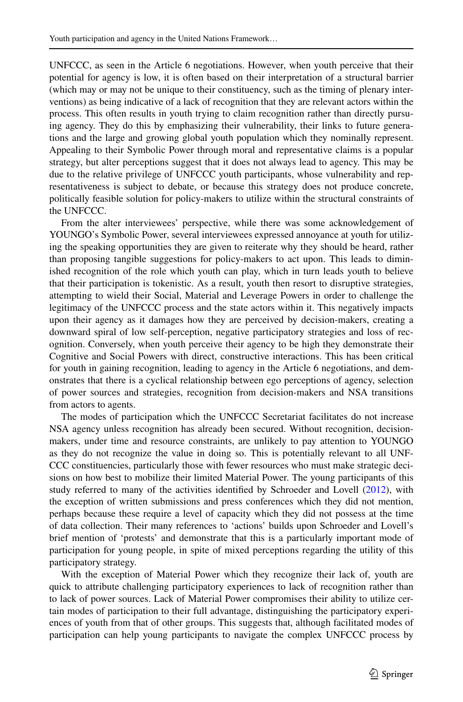UNFCCC, as seen in the Article 6 negotiations. However, when youth perceive that their potential for agency is low, it is often based on their interpretation of a structural barrier (which may or may not be unique to their constituency, such as the timing of plenary interventions) as being indicative of a lack of recognition that they are relevant actors within the process. This often results in youth trying to claim recognition rather than directly pursuing agency. They do this by emphasizing their vulnerability, their links to future generations and the large and growing global youth population which they nominally represent. Appealing to their Symbolic Power through moral and representative claims is a popular strategy, but alter perceptions suggest that it does not always lead to agency. This may be due to the relative privilege of UNFCCC youth participants, whose vulnerability and representativeness is subject to debate, or because this strategy does not produce concrete, politically feasible solution for policy-makers to utilize within the structural constraints of the UNFCCC.

From the alter interviewees' perspective, while there was some acknowledgement of YOUNGO's Symbolic Power, several interviewees expressed annoyance at youth for utilizing the speaking opportunities they are given to reiterate why they should be heard, rather than proposing tangible suggestions for policy-makers to act upon. This leads to diminished recognition of the role which youth can play, which in turn leads youth to believe that their participation is tokenistic. As a result, youth then resort to disruptive strategies, attempting to wield their Social, Material and Leverage Powers in order to challenge the legitimacy of the UNFCCC process and the state actors within it. This negatively impacts upon their agency as it damages how they are perceived by decision-makers, creating a downward spiral of low self-perception, negative participatory strategies and loss of recognition. Conversely, when youth perceive their agency to be high they demonstrate their Cognitive and Social Powers with direct, constructive interactions. This has been critical for youth in gaining recognition, leading to agency in the Article 6 negotiations, and demonstrates that there is a cyclical relationship between ego perceptions of agency, selection of power sources and strategies, recognition from decision-makers and NSA transitions from actors to agents.

The modes of participation which the UNFCCC Secretariat facilitates do not increase NSA agency unless recognition has already been secured. Without recognition, decisionmakers, under time and resource constraints, are unlikely to pay attention to YOUNGO as they do not recognize the value in doing so. This is potentially relevant to all UNF-CCC constituencies, particularly those with fewer resources who must make strategic decisions on how best to mobilize their limited Material Power. The young participants of this study referred to many of the activities identified by Schroeder and Lovell [\(2012](#page-19-20)), with the exception of written submissions and press conferences which they did not mention, perhaps because these require a level of capacity which they did not possess at the time of data collection. Their many references to 'actions' builds upon Schroeder and Lovell's brief mention of 'protests' and demonstrate that this is a particularly important mode of participation for young people, in spite of mixed perceptions regarding the utility of this participatory strategy.

With the exception of Material Power which they recognize their lack of, youth are quick to attribute challenging participatory experiences to lack of recognition rather than to lack of power sources. Lack of Material Power compromises their ability to utilize certain modes of participation to their full advantage, distinguishing the participatory experiences of youth from that of other groups. This suggests that, although facilitated modes of participation can help young participants to navigate the complex UNFCCC process by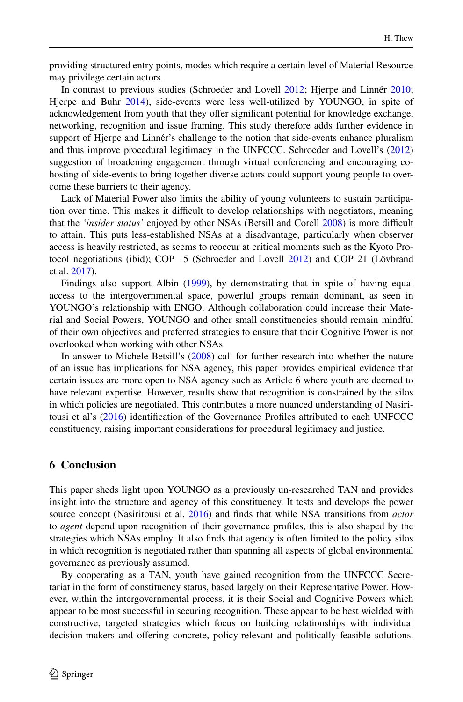providing structured entry points, modes which require a certain level of Material Resource may privilege certain actors.

In contrast to previous studies (Schroeder and Lovell [2012](#page-19-20); Hjerpe and Linnér [2010;](#page-19-21) Hjerpe and Buhr [2014](#page-19-22)), side-events were less well-utilized by YOUNGO, in spite of acknowledgement from youth that they offer significant potential for knowledge exchange, networking, recognition and issue framing. This study therefore adds further evidence in support of Hjerpe and Linnér's challenge to the notion that side-events enhance pluralism and thus improve procedural legitimacy in the UNFCCC. Schroeder and Lovell's [\(2012](#page-19-20)) suggestion of broadening engagement through virtual conferencing and encouraging cohosting of side-events to bring together diverse actors could support young people to overcome these barriers to their agency.

Lack of Material Power also limits the ability of young volunteers to sustain participation over time. This makes it difcult to develop relationships with negotiators, meaning that the *'insider status'* enjoyed by other NSAs (Betsill and Corell [2008](#page-19-18)) is more difficult to attain. This puts less-established NSAs at a disadvantage, particularly when observer access is heavily restricted, as seems to reoccur at critical moments such as the Kyoto Protocol negotiations (ibid); COP 15 (Schroeder and Lovell [2012\)](#page-19-20) and COP 21 (Lövbrand et al. [2017\)](#page-19-19).

Findings also support Albin [\(1999](#page-19-1)), by demonstrating that in spite of having equal access to the intergovernmental space, powerful groups remain dominant, as seen in YOUNGO's relationship with ENGO. Although collaboration could increase their Material and Social Powers, YOUNGO and other small constituencies should remain mindful of their own objectives and preferred strategies to ensure that their Cognitive Power is not overlooked when working with other NSAs.

In answer to Michele Betsill's ([2008\)](#page-19-15) call for further research into whether the nature of an issue has implications for NSA agency, this paper provides empirical evidence that certain issues are more open to NSA agency such as Article 6 where youth are deemed to have relevant expertise. However, results show that recognition is constrained by the silos in which policies are negotiated. This contributes a more nuanced understanding of Nasiritousi et al's [\(2016](#page-19-0)) identifcation of the Governance Profles attributed to each UNFCCC constituency, raising important considerations for procedural legitimacy and justice.

## **6 Conclusion**

This paper sheds light upon YOUNGO as a previously un-researched TAN and provides insight into the structure and agency of this constituency. It tests and develops the power source concept (Nasiritousi et al. [2016\)](#page-19-0) and fnds that while NSA transitions from *actor* to *agent* depend upon recognition of their governance profles, this is also shaped by the strategies which NSAs employ. It also fnds that agency is often limited to the policy silos in which recognition is negotiated rather than spanning all aspects of global environmental governance as previously assumed.

By cooperating as a TAN, youth have gained recognition from the UNFCCC Secretariat in the form of constituency status, based largely on their Representative Power. However, within the intergovernmental process, it is their Social and Cognitive Powers which appear to be most successful in securing recognition. These appear to be best wielded with constructive, targeted strategies which focus on building relationships with individual decision-makers and ofering concrete, policy-relevant and politically feasible solutions.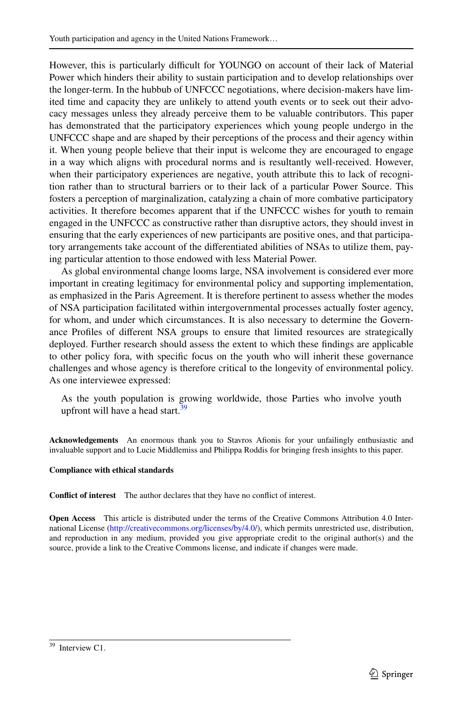However, this is particularly difficult for YOUNGO on account of their lack of Material Power which hinders their ability to sustain participation and to develop relationships over the longer-term. In the hubbub of UNFCCC negotiations, where decision-makers have limited time and capacity they are unlikely to attend youth events or to seek out their advocacy messages unless they already perceive them to be valuable contributors. This paper has demonstrated that the participatory experiences which young people undergo in the UNFCCC shape and are shaped by their perceptions of the process and their agency within it. When young people believe that their input is welcome they are encouraged to engage in a way which aligns with procedural norms and is resultantly well-received. However, when their participatory experiences are negative, youth attribute this to lack of recognition rather than to structural barriers or to their lack of a particular Power Source. This fosters a perception of marginalization, catalyzing a chain of more combative participatory activities. It therefore becomes apparent that if the UNFCCC wishes for youth to remain engaged in the UNFCCC as constructive rather than disruptive actors, they should invest in ensuring that the early experiences of new participants are positive ones, and that participatory arrangements take account of the diferentiated abilities of NSAs to utilize them, paying particular attention to those endowed with less Material Power.

As global environmental change looms large, NSA involvement is considered ever more important in creating legitimacy for environmental policy and supporting implementation, as emphasized in the Paris Agreement. It is therefore pertinent to assess whether the modes of NSA participation facilitated within intergovernmental processes actually foster agency, for whom, and under which circumstances. It is also necessary to determine the Governance Profles of diferent NSA groups to ensure that limited resources are strategically deployed. Further research should assess the extent to which these fndings are applicable to other policy fora, with specifc focus on the youth who will inherit these governance challenges and whose agency is therefore critical to the longevity of environmental policy. As one interviewee expressed:

As the youth population is growing worldwide, those Parties who involve youth upfront will have a head start. $39$ 

**Acknowledgements** An enormous thank you to Stavros Afonis for your unfailingly enthusiastic and invaluable support and to Lucie Middlemiss and Philippa Roddis for bringing fresh insights to this paper.

#### **Compliance with ethical standards**

**Confict of interest** The author declares that they have no confict of interest.

**Open Access** This article is distributed under the terms of the Creative Commons Attribution 4.0 International License [\(http://creativecommons.org/licenses/by/4.0/](http://creativecommons.org/licenses/by/4.0/)), which permits unrestricted use, distribution, and reproduction in any medium, provided you give appropriate credit to the original author(s) and the source, provide a link to the Creative Commons license, and indicate if changes were made.

<span id="page-18-0"></span><sup>&</sup>lt;sup>39</sup> Interview C1.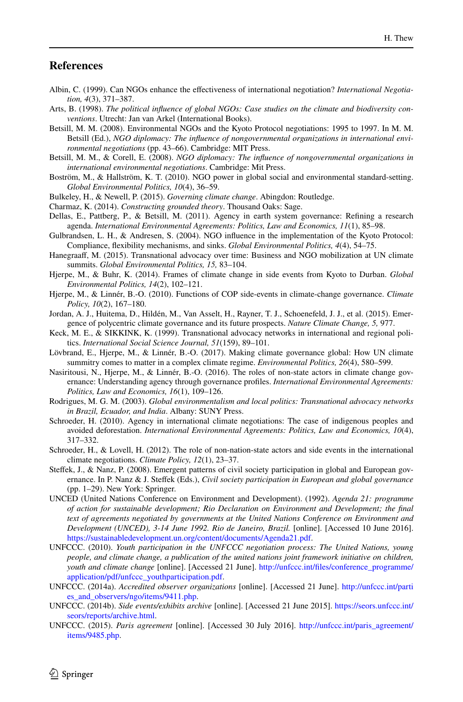## **References**

- <span id="page-19-1"></span>Albin, C. (1999). Can NGOs enhance the efectiveness of international negotiation? *International Negotiation, 4*(3), 371–387.
- <span id="page-19-14"></span>Arts, B. (1998). *The political infuence of global NGOs: Case studies on the climate and biodiversity conventions*. Utrecht: Jan van Arkel (International Books).
- <span id="page-19-15"></span>Betsill, M. M. (2008). Environmental NGOs and the Kyoto Protocol negotiations: 1995 to 1997. In M. M. Betsill (Ed.), *NGO diplomacy: The infuence of nongovernmental organizations in international environmental negotiations* (pp. 43–66). Cambridge: MIT Press.
- <span id="page-19-18"></span>Betsill, M. M., & Corell, E. (2008). *NGO diplomacy: The infuence of nongovernmental organizations in international environmental negotiations*. Cambridge: Mit Press.
- <span id="page-19-13"></span>Boström, M., & Hallström, K. T. (2010). NGO power in global social and environmental standard-setting. *Global Environmental Politics, 10*(4), 36–59.
- <span id="page-19-2"></span>Bulkeley, H., & Newell, P. (2015). *Governing climate change*. Abingdon: Routledge.
- <span id="page-19-23"></span>Charmaz, K. (2014). *Constructing grounded theory*. Thousand Oaks: Sage.
- <span id="page-19-12"></span>Dellas, E., Pattberg, P., & Betsill, M. (2011). Agency in earth system governance: Refning a research agenda. *International Environmental Agreements: Politics, Law and Economics, 11*(1), 85–98.
- <span id="page-19-16"></span>Gulbrandsen, L. H., & Andresen, S. (2004). NGO infuence in the implementation of the Kyoto Protocol: Compliance, fexibility mechanisms, and sinks. *Global Environmental Politics, 4*(4), 54–75.
- <span id="page-19-17"></span>Hanegraaff, M. (2015). Transnational advocacy over time: Business and NGO mobilization at UN climate summits. *Global Environmental Politics, 15,* 83–104.
- <span id="page-19-22"></span>Hjerpe, M., & Buhr, K. (2014). Frames of climate change in side events from Kyoto to Durban. *Global Environmental Politics, 14*(2), 102–121.
- <span id="page-19-21"></span>Hjerpe, M., & Linnér, B.-O. (2010). Functions of COP side-events in climate-change governance. *Climate Policy, 10*(2), 167–180.
- <span id="page-19-4"></span>Jordan, A. J., Huitema, D., Hildén, M., Van Asselt, H., Rayner, T. J., Schoenefeld, J. J., et al. (2015). Emergence of polycentric climate governance and its future prospects. *Nature Climate Change, 5,* 977.
- <span id="page-19-11"></span>Keck, M. E., & SIKKINK, K. (1999). Transnational advocacy networks in international and regional politics. *International Social Science Journal, 51*(159), 89–101.
- <span id="page-19-19"></span>Lövbrand, E., Hjerpe, M., & Linnér, B.-O. (2017). Making climate governance global: How UN climate summitry comes to matter in a complex climate regime. *Environmental Politics, 26*(4), 580–599.
- <span id="page-19-0"></span>Nasiritousi, N., Hjerpe, M., & Linnér, B.-O. (2016). The roles of non-state actors in climate change governance: Understanding agency through governance profles. *International Environmental Agreements: Politics, Law and Economics, 16*(1), 109–126.
- <span id="page-19-8"></span>Rodrigues, M. G. M. (2003). *Global environmentalism and local politics: Transnational advocacy networks in Brazil, Ecuador, and India*. Albany: SUNY Press.
- <span id="page-19-7"></span>Schroeder, H. (2010). Agency in international climate negotiations: The case of indigenous peoples and avoided deforestation. *International Environmental Agreements: Politics, Law and Economics, 10*(4), 317–332.
- <span id="page-19-20"></span>Schroeder, H., & Lovell, H. (2012). The role of non-nation-state actors and side events in the international climate negotiations. *Climate Policy, 12*(1), 23–37.
- <span id="page-19-10"></span>Steffek, J., & Nanz, P. (2008). Emergent patterns of civil society participation in global and European governance. In P. Nanz & J. Stefek (Eds.), *Civil society participation in European and global governance* (pp. 1–29). New York: Springer.
- <span id="page-19-5"></span>UNCED (United Nations Conference on Environment and Development). (1992). *Agenda 21: programme of action for sustainable development; Rio Declaration on Environment and Development; the fnal text of agreements negotiated by governments at the United Nations Conference on Environment and Development (UNCED), 3-14 June 1992. Rio de Janeiro, Brazil.* [online]. [Accessed 10 June 2016]. <https://sustainabledevelopment.un.org/content/documents/Agenda21.pdf>.
- <span id="page-19-6"></span>UNFCCC. (2010). *Youth participation in the UNFCCC negotiation process: The United Nations, young people, and climate change, a publication of the united nations joint framework initiative on children, youth and climate change* [online]. [Accessed 21 June]. [http://unfccc.int/fles/conference\\_programme/](http://unfccc.int/files/conference_programme/application/pdf/unfccc_youthparticipation.pdf) [application/pdf/unfccc\\_youthparticipation.pdf](http://unfccc.int/files/conference_programme/application/pdf/unfccc_youthparticipation.pdf).
- <span id="page-19-9"></span>UNFCCC. (2014a). *Accredited observer organizations* [online]. [Accessed 21 June]. [http://unfccc.int/parti](http://unfccc.int/parties_and_observers/ngo/items/9411.php) [es\\_and\\_observers/ngo/items/9411.php.](http://unfccc.int/parties_and_observers/ngo/items/9411.php)
- <span id="page-19-24"></span>UNFCCC. (2014b). *Side events/exhibits archive* [online]. [Accessed 21 June 2015]. [https://seors.unfccc.int/](https://seors.unfccc.int/seors/reports/archive.html) [seors/reports/archive.html.](https://seors.unfccc.int/seors/reports/archive.html)
- <span id="page-19-3"></span>UNFCCC. (2015). *Paris agreement* [online]. [Accessed 30 July 2016]. [http://unfccc.int/paris\\_agreement/](http://unfccc.int/paris_agreement/items/9485.php) [items/9485.php](http://unfccc.int/paris_agreement/items/9485.php).